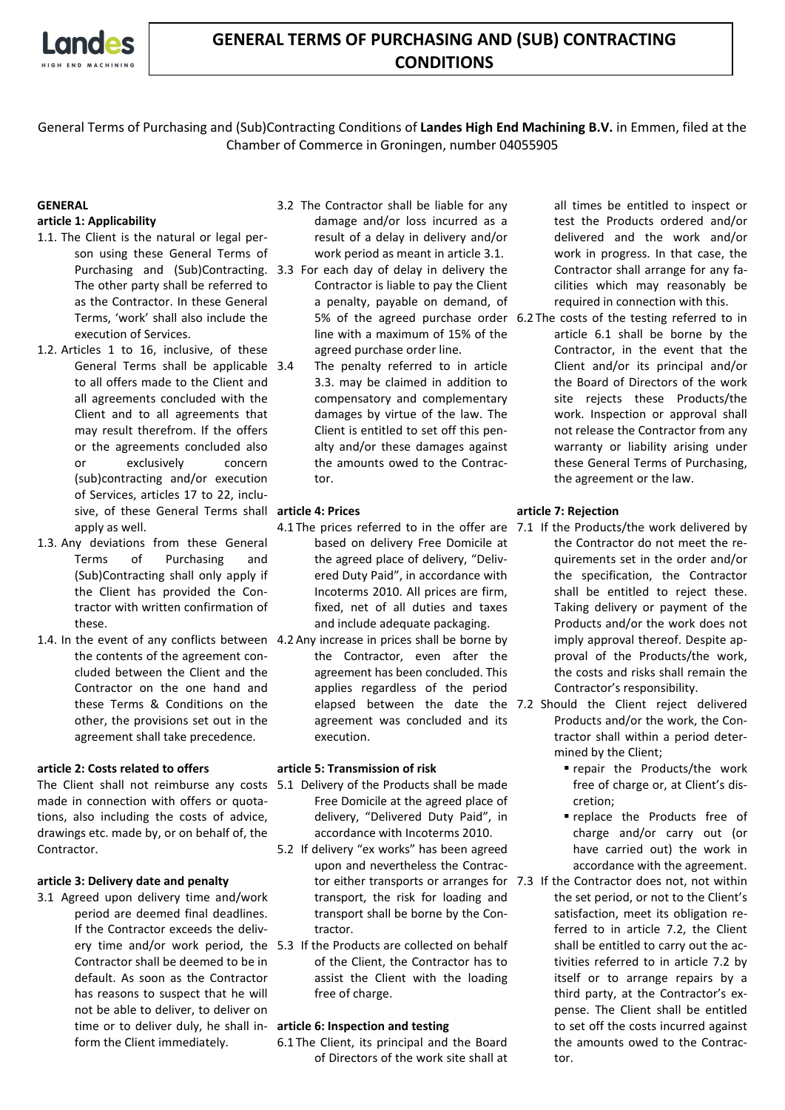

## **GENERAL TERMS OF PURCHASING AND (SUB) CONTRACTING CONDITIONS**

General Terms of Purchasing and (Sub)Contracting Conditions of **Landes High End Machining B.V.** in Emmen, filed at the Chamber of Commerce in Groningen, number 04055905

# **GENERAL**

### **article 1: Applicability**

- 1.1. The Client is the natural or legal person using these General Terms of The other party shall be referred to as the Contractor. In these General Terms, 'work' shall also include the execution of Services.
- 1.2. Articles 1 to 16, inclusive, of these General Terms shall be applicable 3.4 to all offers made to the Client and all agreements concluded with the Client and to all agreements that may result therefrom. If the offers or the agreements concluded also or exclusively concern (sub)contracting and/or execution of Services, articles 17 to 22, inclusive, of these General Terms shall **article 4: Prices** apply as well.
- 1.3. Any deviations from these General Terms of Purchasing and (Sub)Contracting shall only apply if the Client has provided the Contractor with written confirmation of these.
- 1.4. In the event of any conflicts between 4.2 Any increase in prices shall be borne by the contents of the agreement concluded between the Client and the Contractor on the one hand and these Terms & Conditions on the other, the provisions set out in the agreement shall take precedence.

### **article 2: Costs related to offers**

The Client shall not reimburse any costs 5.1 Delivery of the Products shall be made made in connection with offers or quotations, also including the costs of advice, drawings etc. made by, or on behalf of, the Contractor.

### **article 3: Delivery date and penalty**

3.1 Agreed upon delivery time and/work period are deemed final deadlines. If the Contractor exceeds the deliv-Contractor shall be deemed to be in default. As soon as the Contractor has reasons to suspect that he will not be able to deliver, to deliver on time or to deliver duly, he shall in-**article 6: Inspection and testing** form the Client immediately.

- 3.2 The Contractor shall be liable for any damage and/or loss incurred as a result of a delay in delivery and/or work period as meant in article 3.1.
- Purchasing and (Sub)Contracting. 3.3 For each day of delay in delivery the Contractor is liable to pay the Client a penalty, payable on demand, of line with a maximum of 15% of the agreed purchase order line.
	- The penalty referred to in article 3.3. may be claimed in addition to compensatory and complementary damages by virtue of the law. The Client is entitled to set off this penalty and/or these damages against the amounts owed to the Contractor.

- 4.1 The prices referred to in the offer are 7.1 If the Products/the work delivered by based on delivery Free Domicile at the agreed place of delivery, "Delivered Duty Paid", in accordance with Incoterms 2010. All prices are firm, fixed, net of all duties and taxes and include adequate packaging.
- the Contractor, even after the agreement has been concluded. This applies regardless of the period agreement was concluded and its execution.

### **article 5: Transmission of risk**

- Free Domicile at the agreed place of delivery, "Delivered Duty Paid", in accordance with Incoterms 2010.
- 5.2 If delivery "ex works" has been agreed upon and nevertheless the Contractor either transports or arranges for 7.3 If the Contractor does not, not within transport, the risk for loading and transport shall be borne by the Contractor.
- ery time and/or work period, the 5.3 If the Products are collected on behalf of the Client, the Contractor has to assist the Client with the loading free of charge.

6.1 The Client, its principal and the Board of Directors of the work site shall at all times be entitled to inspect or test the Products ordered and/or delivered and the work and/or work in progress. In that case, the Contractor shall arrange for any facilities which may reasonably be required in connection with this.

5% of the agreed purchase order 6.2 The costs of the testing referred to in article 6.1 shall be borne by the Contractor, in the event that the Client and/or its principal and/or the Board of Directors of the work site rejects these Products/the work. Inspection or approval shall not release the Contractor from any warranty or liability arising under these General Terms of Purchasing, the agreement or the law.

### **article 7: Rejection**

- the Contractor do not meet the requirements set in the order and/or the specification, the Contractor shall be entitled to reject these. Taking delivery or payment of the Products and/or the work does not imply approval thereof. Despite approval of the Products/the work, the costs and risks shall remain the Contractor's responsibility.
- elapsed between the date the 7.2 Should the Client reject delivered Products and/or the work, the Contractor shall within a period determined by the Client;
	- repair the Products/the work free of charge or, at Client's discretion;
	- replace the Products free of charge and/or carry out (or have carried out) the work in accordance with the agreement.
	- the set period, or not to the Client's satisfaction, meet its obligation referred to in article 7.2, the Client shall be entitled to carry out the activities referred to in article 7.2 by itself or to arrange repairs by a third party, at the Contractor's expense. The Client shall be entitled to set off the costs incurred against the amounts owed to the Contractor.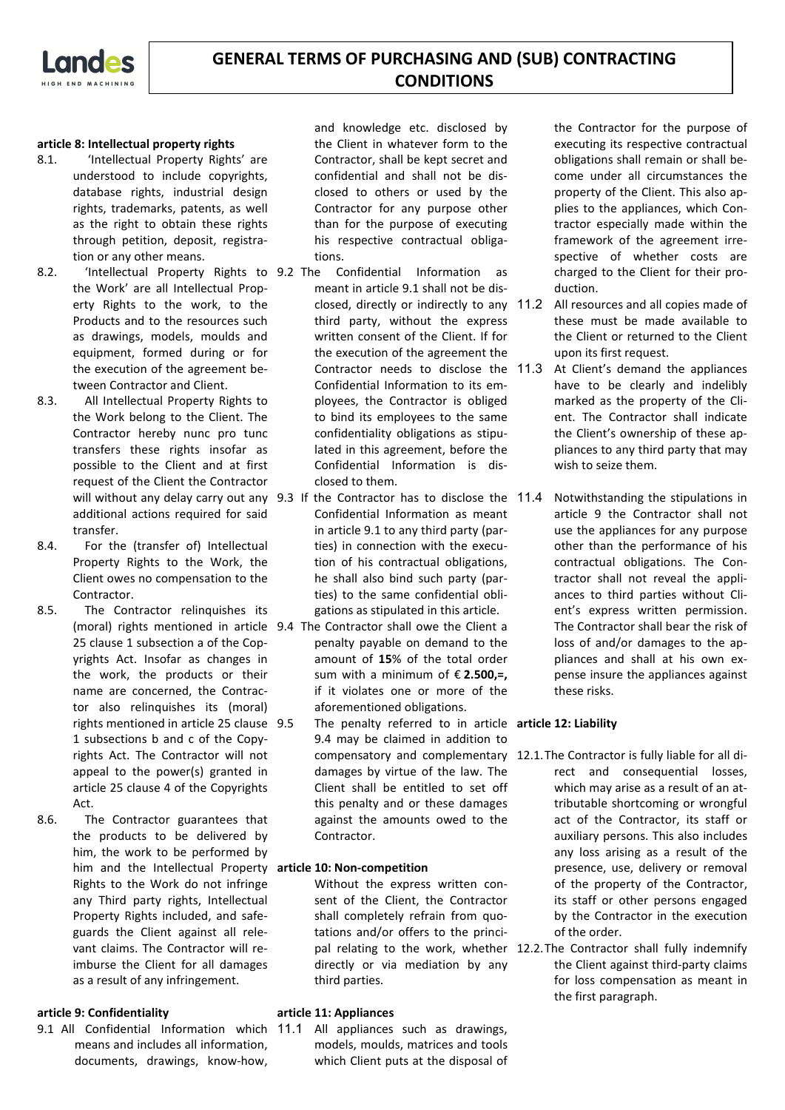

### **article 8: Intellectual property rights**

- 8.1. 'Intellectual Property Rights' are understood to include copyrights, database rights, industrial design rights, trademarks, patents, as well as the right to obtain these rights through petition, deposit, registration or any other means.
- 8.2. 'Intellectual Property Rights to 9.2 The the Work' are all Intellectual Property Rights to the work, to the Products and to the resources such as drawings, models, moulds and equipment, formed during or for the execution of the agreement between Contractor and Client.
- 8.3. All Intellectual Property Rights to the Work belong to the Client. The Contractor hereby nunc pro tunc transfers these rights insofar as possible to the Client and at first request of the Client the Contractor additional actions required for said transfer.
- 8.4. For the (transfer of) Intellectual Property Rights to the Work, the Client owes no compensation to the Contractor.
- 8.5. The Contractor relinquishes its 25 clause 1 subsection a of the Copyrights Act. Insofar as changes in the work, the products or their name are concerned, the Contractor also relinquishes its (moral) rights mentioned in article 25 clause 9.5 1 subsections b and c of the Copyrights Act. The Contractor will not appeal to the power(s) granted in article 25 clause 4 of the Copyrights Act.
- 8.6. The Contractor guarantees that the products to be delivered by him, the work to be performed by him and the Intellectual Property **article 10: Non-competition** Rights to the Work do not infringe any Third party rights, Intellectual Property Rights included, and safeguards the Client against all relevant claims. The Contractor will reimburse the Client for all damages as a result of any infringement.

### **article 9: Confidentiality**

9.1 All Confidential Information which 11.1 All appliances such as drawings, means and includes all information, documents, drawings, know-how,

and knowledge etc. disclosed by the Client in whatever form to the Contractor, shall be kept secret and confidential and shall not be disclosed to others or used by the Contractor for any purpose other than for the purpose of executing his respective contractual obligations.

- Confidential Information as meant in article 9.1 shall not be disclosed, directly or indirectly to any 11.2 third party, without the express written consent of the Client. If for the execution of the agreement the Contractor needs to disclose the 11.3 Confidential Information to its employees, the Contractor is obliged to bind its employees to the same confidentiality obligations as stipulated in this agreement, before the Confidential Information is disclosed to them.
- will without any delay carry out any 9.3 If the Contractor has to disclose the Confidential Information as meant in article 9.1 to any third party (parties) in connection with the execution of his contractual obligations, he shall also bind such party (parties) to the same confidential obligations as stipulated in this article.
- (moral) rights mentioned in article 9.4 The Contractor shall owe the Client a penalty payable on demand to the amount of **15**% of the total order sum with a minimum of € **2.500,=,**  if it violates one or more of the aforementioned obligations.
	- 9.5 The penalty referred to in article **article 12: Liability**  9.4 may be claimed in addition to damages by virtue of the law. The Client shall be entitled to set off this penalty and or these damages against the amounts owed to the Contractor.

Without the express written consent of the Client, the Contractor shall completely refrain from quotations and/or offers to the princidirectly or via mediation by any third parties.

### **article 11: Appliances**

models, moulds, matrices and tools which Client puts at the disposal of the Contractor for the purpose of executing its respective contractual obligations shall remain or shall become under all circumstances the property of the Client. This also applies to the appliances, which Contractor especially made within the framework of the agreement irrespective of whether costs are charged to the Client for their production.

- All resources and all copies made of these must be made available to the Client or returned to the Client upon its first request.
- At Client's demand the appliances have to be clearly and indelibly marked as the property of the Client. The Contractor shall indicate the Client's ownership of these appliances to any third party that may wish to seize them.
- Notwithstanding the stipulations in article 9 the Contractor shall not use the appliances for any purpose other than the performance of his contractual obligations. The Contractor shall not reveal the appliances to third parties without Client's express written permission. The Contractor shall bear the risk of loss of and/or damages to the appliances and shall at his own expense insure the appliances against these risks.

- compensatory and complementary 12.1.The Contractor is fully liable for all direct and consequential losses, which may arise as a result of an attributable shortcoming or wrongful act of the Contractor, its staff or auxiliary persons. This also includes any loss arising as a result of the presence, use, delivery or removal of the property of the Contractor, its staff or other persons engaged by the Contractor in the execution of the order.
- pal relating to the work, whether 12.2.The Contractor shall fully indemnify the Client against third-party claims for loss compensation as meant in the first paragraph.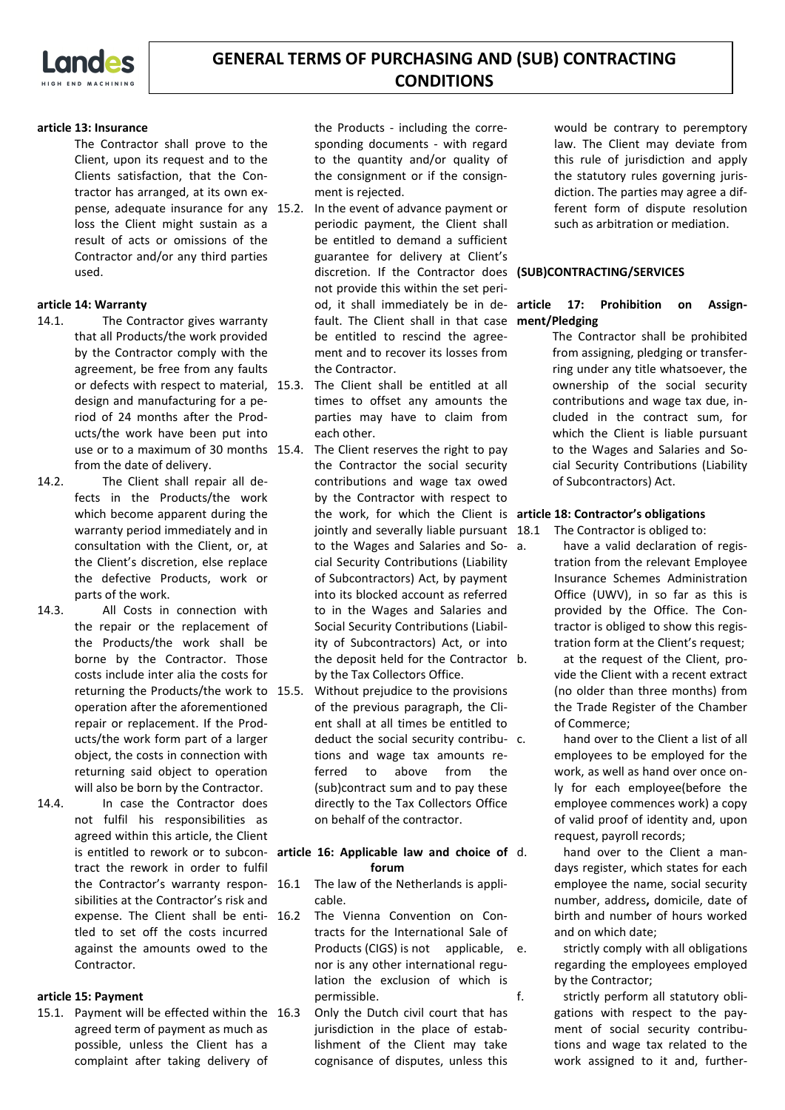

### **article 13: Insurance**

The Contractor shall prove to the Client, upon its request and to the Clients satisfaction, that the Contractor has arranged, at its own expense, adequate insurance for any loss the Client might sustain as a result of acts or omissions of the Contractor and/or any third parties used.

### **article 14: Warranty**

- 14.1. The Contractor gives warranty that all Products/the work provided by the Contractor comply with the agreement, be free from any faults or defects with respect to material, design and manufacturing for a period of 24 months after the Products/the work have been put into use or to a maximum of 30 months 15.4. from the date of delivery.
- 14.2. The Client shall repair all defects in the Products/the work which become apparent during the warranty period immediately and in consultation with the Client, or, at the Client's discretion, else replace the defective Products, work or parts of the work.
- 14.3. All Costs in connection with the repair or the replacement of the Products/the work shall be borne by the Contractor. Those costs include inter alia the costs for returning the Products/the work to operation after the aforementioned repair or replacement. If the Products/the work form part of a larger object, the costs in connection with returning said object to operation will also be born by the Contractor.
- 14.4. In case the Contractor does not fulfil his responsibilities as agreed within this article, the Client tract the rework in order to fulfil the Contractor's warranty respon- 16.1 sibilities at the Contractor's risk and expense. The Client shall be enti- 16.2 tled to set off the costs incurred against the amounts owed to the Contractor.

### **article 15: Payment**

15.1. Payment will be effected within the agreed term of payment as much as possible, unless the Client has a complaint after taking delivery of

the Products - including the corresponding documents - with regard to the quantity and/or quality of the consignment or if the consignment is rejected.

- In the event of advance payment or periodic payment, the Client shall be entitled to demand a sufficient guarantee for delivery at Client's discretion. If the Contractor does **(SUB)CONTRACTING/SERVICES** not provide this within the set period, it shall immediately be in de- article fault. The Client shall in that case **ment/Pledging** be entitled to rescind the agreement and to recover its losses from the Contractor.
- The Client shall be entitled at all times to offset any amounts the parties may have to claim from each other.
- The Client reserves the right to pay the Contractor the social security contributions and wage tax owed by the Contractor with respect to the work, for which the Client is **article 18: Contractor's obligations** jointly and severally liable pursuant 18.1 to the Wages and Salaries and Social Security Contributions (Liability of Subcontractors) Act, by payment into its blocked account as referred to in the Wages and Salaries and Social Security Contributions (Liability of Subcontractors) Act, or into the deposit held for the Contractor by the Tax Collectors Office.
- Without prejudice to the provisions of the previous paragraph, the Client shall at all times be entitled to deduct the social security contribu- c. tions and wage tax amounts referred to above from the (sub)contract sum and to pay these directly to the Tax Collectors Office on behalf of the contractor.

### is entitled to rework or to subcon- article 16: Applicable law and choice of **forum**

- The law of the Netherlands is applicable.
- The Vienna Convention on Contracts for the International Sale of Products (CIGS) is not applicable, e. nor is any other international regulation the exclusion of which is permissible.
	- 16.3 Only the Dutch civil court that has jurisdiction in the place of establishment of the Client may take cognisance of disputes, unless this

would be contrary to peremptory law. The Client may deviate from this rule of jurisdiction and apply the statutory rules governing jurisdiction. The parties may agree a different form of dispute resolution such as arbitration or mediation.

# 17: Prohibition on Assign-

The Contractor shall be prohibited from assigning, pledging or transferring under any title whatsoever, the ownership of the social security contributions and wage tax due, included in the contract sum, for which the Client is liable pursuant to the Wages and Salaries and Social Security Contributions (Liability of Subcontractors) Act.

- The Contractor is obliged to:
	- have a valid declaration of registration from the relevant Employee Insurance Schemes Administration Office (UWV), in so far as this is provided by the Office. The Contractor is obliged to show this registration form at the Client's request;
	- at the request of the Client, provide the Client with a recent extract (no older than three months) from the Trade Register of the Chamber of Commerce;
	- hand over to the Client a list of all employees to be employed for the work, as well as hand over once only for each employee(before the employee commences work) a copy of valid proof of identity and, upon request, payroll records;
	- hand over to the Client a mandays register, which states for each employee the name, social security number, address**,** domicile, date of birth and number of hours worked and on which date;

strictly comply with all obligations regarding the employees employed by the Contractor;

f. strictly perform all statutory obligations with respect to the payment of social security contributions and wage tax related to the work assigned to it and, further-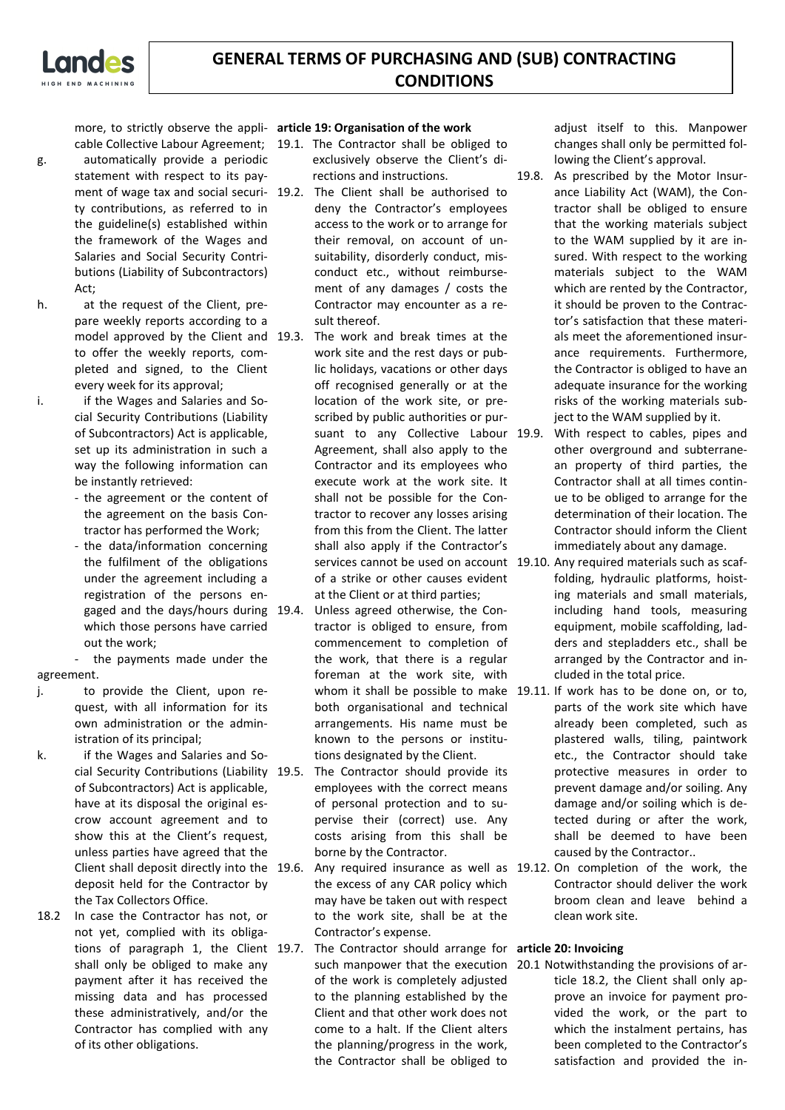| $\bullet$ $\bullet$ |                    |
|---------------------|--------------------|
|                     | HIGH END MACHINING |

more, to strictly observe the appli-**article 19: Organisation of the work**

- g. automatically provide a periodic statement with respect to its payment of wage tax and social securi- 19.2. ty contributions, as referred to in the guideline(s) established within the framework of the Wages and Salaries and Social Security Contributions (Liability of Subcontractors)  $Art$
- h. at the request of the Client, prepare weekly reports according to a model approved by the Client and 19.3. to offer the weekly reports, completed and signed, to the Client every week for its approval;
- i. if the Wages and Salaries and Social Security Contributions (Liability of Subcontractors) Act is applicable, set up its administration in such a way the following information can be instantly retrieved:
	- the agreement or the content of the agreement on the basis Contractor has performed the Work;
	- the data/information concerning the fulfilment of the obligations under the agreement including a registration of the persons engaged and the days/hours during which those persons have carried out the work;

the payments made under the agreement.

- j. to provide the Client, upon request, with all information for its own administration or the administration of its principal;
- k. if the Wages and Salaries and Social Security Contributions (Liability 19.5. of Subcontractors) Act is applicable, have at its disposal the original escrow account agreement and to show this at the Client's request, unless parties have agreed that the Client shall deposit directly into the 19.6. deposit held for the Contractor by the Tax Collectors Office.
- 18.2 In case the Contractor has not, or not yet, complied with its obligations of paragraph 1, the Client 19.7. shall only be obliged to make any payment after it has received the missing data and has processed these administratively, and/or the Contractor has complied with any of its other obligations.

- cable Collective Labour Agreement; 19.1. The Contractor shall be obliged to exclusively observe the Client's directions and instructions.
	- The Client shall be authorised to deny the Contractor's employees access to the work or to arrange for their removal, on account of unsuitability, disorderly conduct, misconduct etc., without reimbursement of any damages / costs the Contractor may encounter as a result thereof.
	- The work and break times at the work site and the rest days or public holidays, vacations or other days off recognised generally or at the location of the work site, or prescribed by public authorities or pursuant to any Collective Labour 19.9. Agreement, shall also apply to the Contractor and its employees who execute work at the work site. It shall not be possible for the Contractor to recover any losses arising from this from the Client. The latter shall also apply if the Contractor's of a strike or other causes evident at the Client or at third parties;
	- Unless agreed otherwise, the Contractor is obliged to ensure, from commencement to completion of the work, that there is a regular foreman at the work site, with both organisational and technical arrangements. His name must be known to the persons or institutions designated by the Client.
	- The Contractor should provide its employees with the correct means of personal protection and to supervise their (correct) use. Any costs arising from this shall be borne by the Contractor.
	- 19.6. Any required insurance as well as 19.12. On completion of the work, the the excess of any CAR policy which may have be taken out with respect to the work site, shall be at the Contractor's expense.
	- 19.7. The Contractor should arrange for **article 20: Invoicing** of the work is completely adjusted to the planning established by the Client and that other work does not come to a halt. If the Client alters the planning/progress in the work, the Contractor shall be obliged to

adjust itself to this. Manpower changes shall only be permitted following the Client's approval.

19.8. As prescribed by the Motor Insurance Liability Act (WAM), the Contractor shall be obliged to ensure that the working materials subject to the WAM supplied by it are insured. With respect to the working materials subject to the WAM which are rented by the Contractor, it should be proven to the Contractor's satisfaction that these materials meet the aforementioned insurance requirements. Furthermore, the Contractor is obliged to have an adequate insurance for the working risks of the working materials subject to the WAM supplied by it.

- With respect to cables, pipes and other overground and subterranean property of third parties, the Contractor shall at all times continue to be obliged to arrange for the determination of their location. The Contractor should inform the Client immediately about any damage.
- services cannot be used on account 19.10. Any required materials such as scaffolding, hydraulic platforms, hoisting materials and small materials, including hand tools, measuring equipment, mobile scaffolding, ladders and stepladders etc., shall be arranged by the Contractor and included in the total price.
- whom it shall be possible to make 19.11. If work has to be done on, or to, parts of the work site which have already been completed, such as plastered walls, tiling, paintwork etc., the Contractor should take protective measures in order to prevent damage and/or soiling. Any damage and/or soiling which is detected during or after the work, shall be deemed to have been caused by the Contractor..
	- Contractor should deliver the work broom clean and leave behind a clean work site.

such manpower that the execution 20.1 Notwithstanding the provisions of article 18.2, the Client shall only approve an invoice for payment provided the work, or the part to which the instalment pertains, has been completed to the Contractor's satisfaction and provided the in-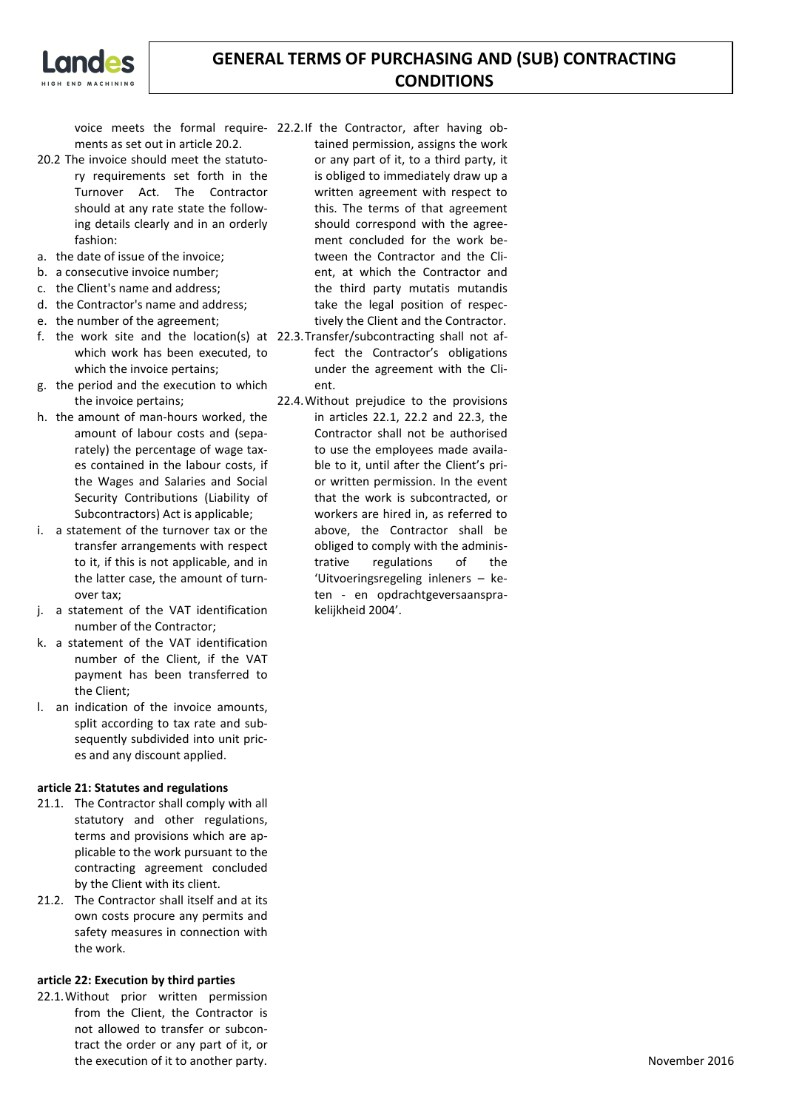

ments as set out in article 20.2.

- 20.2 The invoice should meet the statutory requirements set forth in the Turnover Act. The Contractor should at any rate state the following details clearly and in an orderly fashion:
- a. the date of issue of the invoice;
- b. a consecutive invoice number;
- c. the Client's name and address;
- d. the Contractor's name and address;
- e. the number of the agreement;
- f. the work site and the location(s) at 22.3.Transfer/subcontracting shall not afwhich work has been executed, to which the invoice pertains;
- g. the period and the execution to which the invoice pertains;
- h. the amount of man-hours worked, the amount of labour costs and (separately) the percentage of wage taxes contained in the labour costs, if the Wages and Salaries and Social Security Contributions (Liability of Subcontractors) Act is applicable;
- i. a statement of the turnover tax or the transfer arrangements with respect to it, if this is not applicable, and in the latter case, the amount of turnover tax;
- j. a statement of the VAT identification number of the Contractor;
- k. a statement of the VAT identification number of the Client, if the VAT payment has been transferred to the Client;
- l. an indication of the invoice amounts, split according to tax rate and subsequently subdivided into unit prices and any discount applied.

### **article 21: Statutes and regulations**

- 21.1. The Contractor shall comply with all statutory and other regulations, terms and provisions which are applicable to the work pursuant to the contracting agreement concluded by the Client with its client.
- 21.2. The Contractor shall itself and at its own costs procure any permits and safety measures in connection with the work.

### **article 22: Execution by third parties**

22.1.Without prior written permission from the Client, the Contractor is not allowed to transfer or subcontract the order or any part of it, or the execution of it to another party.

voice meets the formal require-22.2.If the Contractor, after having obtained permission, assigns the work or any part of it, to a third party, it is obliged to immediately draw up a written agreement with respect to this. The terms of that agreement should correspond with the agreement concluded for the work between the Contractor and the Client, at which the Contractor and the third party mutatis mutandis take the legal position of respectively the Client and the Contractor.

- fect the Contractor's obligations under the agreement with the Client.
- 22.4.Without prejudice to the provisions in articles 22.1, 22.2 and 22.3, the Contractor shall not be authorised to use the employees made available to it, until after the Client's prior written permission. In the event that the work is subcontracted, or workers are hired in, as referred to above, the Contractor shall be obliged to comply with the administrative regulations of the 'Uitvoeringsregeling inleners – keten - en opdrachtgeversaansprakelijkheid 2004'.